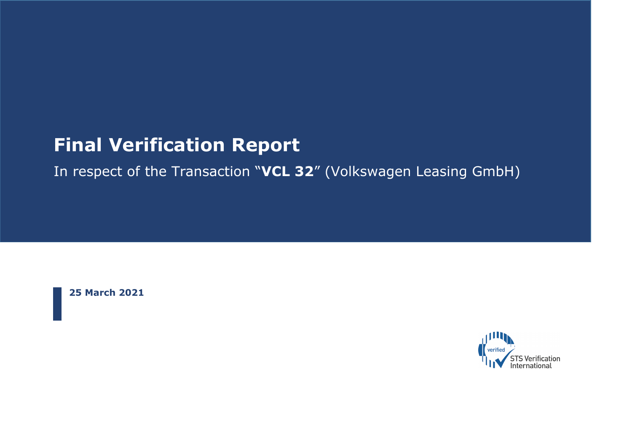# **Final Verification Report**

In respect of the Transaction "**VCL 32**" (Volkswagen Leasing GmbH)

**25 March 2021**

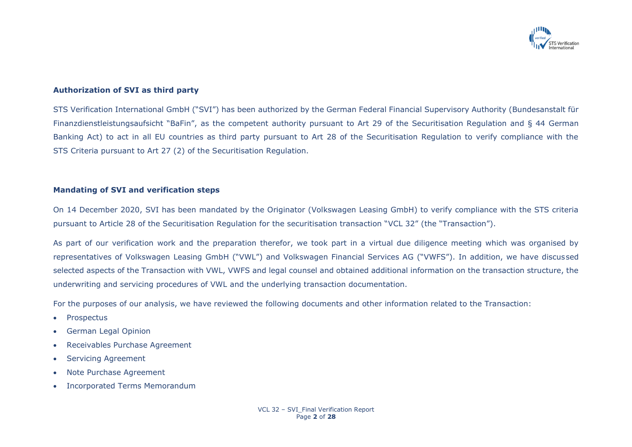

### **Authorization of SVI as third party**

STS Verification International GmbH ("SVI") has been authorized by the German Federal Financial Supervisory Authority (Bundesanstalt für Finanzdienstleistungsaufsicht "BaFin", as the competent authority pursuant to Art 29 of the Securitisation Regulation and § 44 German Banking Act) to act in all EU countries as third party pursuant to Art 28 of the Securitisation Regulation to verify compliance with the STS Criteria pursuant to Art 27 (2) of the Securitisation Regulation.

#### **Mandating of SVI and verification steps**

On 14 December 2020, SVI has been mandated by the Originator (Volkswagen Leasing GmbH) to verify compliance with the STS criteria pursuant to Article 28 of the Securitisation Regulation for the securitisation transaction "VCL 32" (the "Transaction").

As part of our verification work and the preparation therefor, we took part in a virtual due diligence meeting which was organised by representatives of Volkswagen Leasing GmbH ("VWL") and Volkswagen Financial Services AG ("VWFS"). In addition, we have discussed selected aspects of the Transaction with VWL, VWFS and legal counsel and obtained additional information on the transaction structure, the underwriting and servicing procedures of VWL and the underlying transaction documentation.

For the purposes of our analysis, we have reviewed the following documents and other information related to the Transaction:

- **Prospectus**
- German Legal Opinion
- Receivables Purchase Agreement
- Servicing Agreement
- Note Purchase Agreement
- Incorporated Terms Memorandum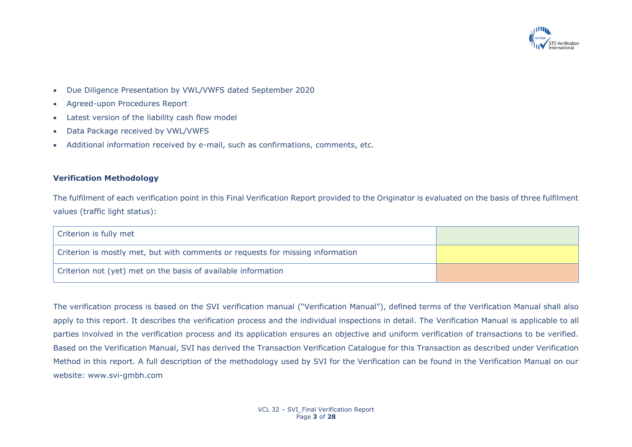

- Due Diligence Presentation by VWL/VWFS dated September 2020
- Agreed-upon Procedures Report
- Latest version of the liability cash flow model
- Data Package received by VWL/VWFS
- Additional information received by e-mail, such as confirmations, comments, etc.

### **Verification Methodology**

The fulfilment of each verification point in this Final Verification Report provided to the Originator is evaluated on the basis of three fulfilment values (traffic light status):

| Criterion is fully met                                                         |  |
|--------------------------------------------------------------------------------|--|
| Criterion is mostly met, but with comments or requests for missing information |  |
| Criterion not (yet) met on the basis of available information                  |  |

The verification process is based on the SVI verification manual ("Verification Manual"), defined terms of the Verification Manual shall also apply to this report. It describes the verification process and the individual inspections in detail. The Verification Manual is applicable to all parties involved in the verification process and its application ensures an objective and uniform verification of transactions to be verified. Based on the Verification Manual, SVI has derived the Transaction Verification Catalogue for this Transaction as described under Verification Method in this report. A full description of the methodology used by SVI for the Verification can be found in the Verification Manual on our website: www.svi-gmbh.com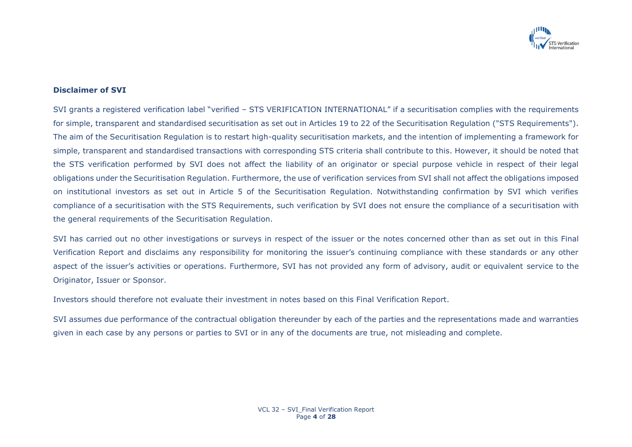

### **Disclaimer of SVI**

SVI grants a registered verification label "verified – STS VERIFICATION INTERNATIONAL" if a securitisation complies with the requirements for simple, transparent and standardised securitisation as set out in Articles 19 to 22 of the Securitisation Regulation ("STS Requirements"). The aim of the Securitisation Regulation is to restart high-quality securitisation markets, and the intention of implementing a framework for simple, transparent and standardised transactions with corresponding STS criteria shall contribute to this. However, it should be noted that the STS verification performed by SVI does not affect the liability of an originator or special purpose vehicle in respect of their legal obligations under the Securitisation Regulation. Furthermore, the use of verification services from SVI shall not affect the obligations imposed on institutional investors as set out in Article 5 of the Securitisation Regulation. Notwithstanding confirmation by SVI which verifies compliance of a securitisation with the STS Requirements, such verification by SVI does not ensure the compliance of a securitisation with the general requirements of the Securitisation Regulation.

SVI has carried out no other investigations or surveys in respect of the issuer or the notes concerned other than as set out in this Final Verification Report and disclaims any responsibility for monitoring the issuer's continuing compliance with these standards or any other aspect of the issuer's activities or operations. Furthermore, SVI has not provided any form of advisory, audit or equivalent service to the Originator, Issuer or Sponsor.

Investors should therefore not evaluate their investment in notes based on this Final Verification Report.

SVI assumes due performance of the contractual obligation thereunder by each of the parties and the representations made and warranties given in each case by any persons or parties to SVI or in any of the documents are true, not misleading and complete.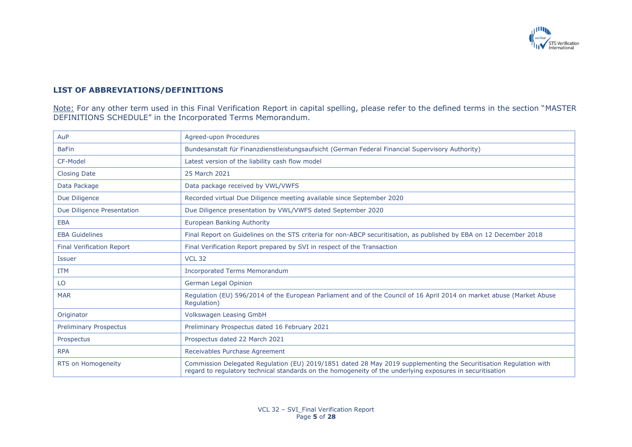

## **LIST OF ABBREVIATIONS/DEFINITIONS**

<u>Note:</u> For any other term used in this Final Verification Report in capital spelling, please refer to the defined terms in the section "MASTER DEFINITIONS SCHEDULE" in the Incorporated Terms Memorandum.

| AuP                              | Agreed-upon Procedures                                                                                                               |
|----------------------------------|--------------------------------------------------------------------------------------------------------------------------------------|
| <b>BaFin</b>                     | Bundesanstalt für Finanzdienstleistungsaufsicht (German Federal Financial Supervisory Authority)                                     |
| CF-Model                         | Latest version of the liability cash flow model                                                                                      |
| <b>Closing Date</b>              | 25 March 2021                                                                                                                        |
| Data Package                     | Data package received by VWL/VWFS                                                                                                    |
| Due Diligence                    | Recorded virtual Due Diligence meeting available since September 2020                                                                |
| Due Diligence Presentation       | Due Diligence presentation by VWL/VWFS dated September 2020                                                                          |
| <b>EBA</b>                       | European Banking Authority                                                                                                           |
| <b>EBA Guidelines</b>            | Final Report on Guidelines on the STS criteria for non-ABCP securitisation, as published by EBA on 12 December 2018                  |
| <b>Final Verification Report</b> | Final Verification Report prepared by SVI in respect of the Transaction                                                              |
| <b>Issuer</b>                    | <b>VCL 32</b>                                                                                                                        |
| <b>ITM</b>                       | <b>Incorporated Terms Memorandum</b>                                                                                                 |
| LO                               | German Legal Opinion                                                                                                                 |
| <b>MAR</b>                       | Regulation (EU) 596/2014 of the European Parliament and of the Council of 16 April 2014 on market abuse (Market Abuse<br>Regulation) |
| Originator                       | <b>Volkswagen Leasing GmbH</b>                                                                                                       |
| <b>Preliminary Prospectus</b>    | Preliminary Prospectus dated 16 February 2021                                                                                        |
| Prospectus                       | Prospectus dated 22 March 2021                                                                                                       |
| <b>RPA</b>                       | Receivables Purchase Agreement                                                                                                       |
|                                  |                                                                                                                                      |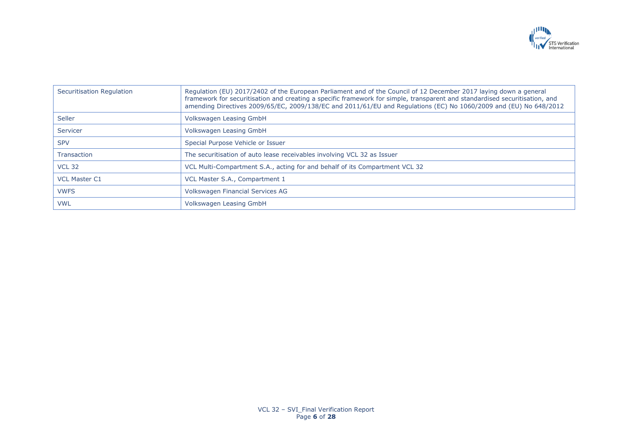

| Securitisation Regulation | Regulation (EU) 2017/2402 of the European Parliament and of the Council of 12 December 2017 laying down a general<br>framework for securitisation and creating a specific framework for simple, transparent and standardised securitisation, and<br>amending Directives 2009/65/EC, 2009/138/EC and 2011/61/EU and Regulations (EC) No 1060/2009 and (EU) No 648/2012 |
|---------------------------|-----------------------------------------------------------------------------------------------------------------------------------------------------------------------------------------------------------------------------------------------------------------------------------------------------------------------------------------------------------------------|
| Seller                    | Volkswagen Leasing GmbH                                                                                                                                                                                                                                                                                                                                               |
| Servicer                  | Volkswagen Leasing GmbH                                                                                                                                                                                                                                                                                                                                               |
| <b>SPV</b>                | Special Purpose Vehicle or Issuer                                                                                                                                                                                                                                                                                                                                     |
| Transaction               | The securitisation of auto lease receivables involving VCL 32 as Issuer                                                                                                                                                                                                                                                                                               |
| <b>VCL 32</b>             | VCL Multi-Compartment S.A., acting for and behalf of its Compartment VCL 32                                                                                                                                                                                                                                                                                           |
| <b>VCL Master C1</b>      | VCL Master S.A., Compartment 1                                                                                                                                                                                                                                                                                                                                        |
| <b>VWFS</b>               | Volkswagen Financial Services AG                                                                                                                                                                                                                                                                                                                                      |
| <b>VWL</b>                | Volkswagen Leasing GmbH                                                                                                                                                                                                                                                                                                                                               |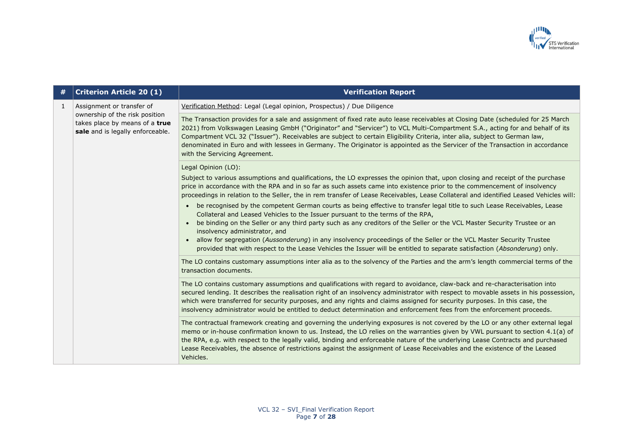

| # | <b>Criterion Article 20 (1)</b>                                                                                                   | <b>Verification Report</b>                                                                                                                                                                                                                                                                                                                                                                                                                                                                                                                                      |
|---|-----------------------------------------------------------------------------------------------------------------------------------|-----------------------------------------------------------------------------------------------------------------------------------------------------------------------------------------------------------------------------------------------------------------------------------------------------------------------------------------------------------------------------------------------------------------------------------------------------------------------------------------------------------------------------------------------------------------|
| 1 | Assignment or transfer of<br>ownership of the risk position<br>takes place by means of a true<br>sale and is legally enforceable. | Verification Method: Legal (Legal opinion, Prospectus) / Due Diligence                                                                                                                                                                                                                                                                                                                                                                                                                                                                                          |
|   |                                                                                                                                   | The Transaction provides for a sale and assignment of fixed rate auto lease receivables at Closing Date (scheduled for 25 March<br>2021) from Volkswagen Leasing GmbH ("Originator" and "Servicer") to VCL Multi-Compartment S.A., acting for and behalf of its<br>Compartment VCL 32 ("Issuer"). Receivables are subject to certain Eligibility Criteria, inter alia, subject to German law,<br>denominated in Euro and with lessees in Germany. The Originator is appointed as the Servicer of the Transaction in accordance<br>with the Servicing Agreement. |
|   |                                                                                                                                   | Legal Opinion (LO):                                                                                                                                                                                                                                                                                                                                                                                                                                                                                                                                             |
|   |                                                                                                                                   | Subject to various assumptions and qualifications, the LO expresses the opinion that, upon closing and receipt of the purchase<br>price in accordance with the RPA and in so far as such assets came into existence prior to the commencement of insolvency<br>proceedings in relation to the Seller, the in rem transfer of Lease Receivables, Lease Collateral and identified Leased Vehicles will:                                                                                                                                                           |
|   |                                                                                                                                   | be recognised by the competent German courts as being effective to transfer legal title to such Lease Receivables, Lease<br>Collateral and Leased Vehicles to the Issuer pursuant to the terms of the RPA,<br>be binding on the Seller or any third party such as any creditors of the Seller or the VCL Master Security Trustee or an<br>insolvency administrator, and                                                                                                                                                                                         |
|   |                                                                                                                                   | allow for segregation (Aussonderung) in any insolvency proceedings of the Seller or the VCL Master Security Trustee<br>provided that with respect to the Lease Vehicles the Issuer will be entitled to separate satisfaction (Absonderung) only.                                                                                                                                                                                                                                                                                                                |
|   |                                                                                                                                   | The LO contains customary assumptions inter alia as to the solvency of the Parties and the arm's length commercial terms of the<br>transaction documents.                                                                                                                                                                                                                                                                                                                                                                                                       |
|   |                                                                                                                                   | The LO contains customary assumptions and qualifications with regard to avoidance, claw-back and re-characterisation into<br>secured lending. It describes the realisation right of an insolvency administrator with respect to movable assets in his possession,<br>which were transferred for security purposes, and any rights and claims assigned for security purposes. In this case, the<br>insolvency administrator would be entitled to deduct determination and enforcement fees from the enforcement proceeds.                                        |
|   |                                                                                                                                   | The contractual framework creating and governing the underlying exposures is not covered by the LO or any other external legal<br>memo or in-house confirmation known to us. Instead, the LO relies on the warranties given by VWL pursuant to section 4.1(a) of<br>the RPA, e.g. with respect to the legally valid, binding and enforceable nature of the underlying Lease Contracts and purchased<br>Lease Receivables, the absence of restrictions against the assignment of Lease Receivables and the existence of the Leased<br>Vehicles.                  |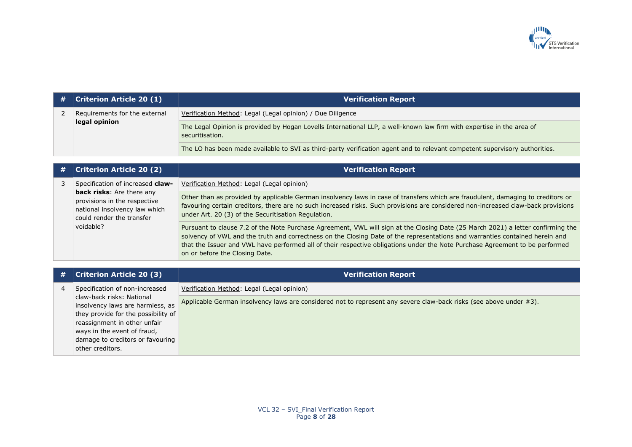

| # | <b>Criterion Article 20 (1)</b>                | <b>Verification Report</b>                                                                                                               |
|---|------------------------------------------------|------------------------------------------------------------------------------------------------------------------------------------------|
|   | Requirements for the external<br>legal opinion | Verification Method: Legal (Legal opinion) / Due Diligence                                                                               |
|   |                                                | The Legal Opinion is provided by Hogan Lovells International LLP, a well-known law firm with expertise in the area of<br>securitisation. |
|   |                                                | The LO has been made available to SVI as third-party verification agent and to relevant competent supervisory authorities.               |

| # | <b>Criterion Article 20 (2)</b>                                                                                                                                          | <b>Verification Report</b>                                                                                                                                                                                                                                                                                                                                                                                                         |
|---|--------------------------------------------------------------------------------------------------------------------------------------------------------------------------|------------------------------------------------------------------------------------------------------------------------------------------------------------------------------------------------------------------------------------------------------------------------------------------------------------------------------------------------------------------------------------------------------------------------------------|
|   | Specification of increased claw-<br>back risks: Are there any<br>provisions in the respective<br>national insolvency law which<br>could render the transfer<br>voidable? | Verification Method: Legal (Legal opinion)                                                                                                                                                                                                                                                                                                                                                                                         |
|   |                                                                                                                                                                          | Other than as provided by applicable German insolvency laws in case of transfers which are fraudulent, damaging to creditors or<br>favouring certain creditors, there are no such increased risks. Such provisions are considered non-increased claw-back provisions<br>under Art. 20 (3) of the Securitisation Regulation.                                                                                                        |
|   |                                                                                                                                                                          | Pursuant to clause 7.2 of the Note Purchase Agreement, VWL will sign at the Closing Date (25 March 2021) a letter confirming the<br>solvency of VWL and the truth and correctness on the Closing Date of the representations and warranties contained herein and<br>that the Issuer and VWL have performed all of their respective obligations under the Note Purchase Agreement to be performed<br>on or before the Closing Date. |

| # | <b>Criterion Article 20 (3)</b>                               | <b>Verification Report</b>                                                                                         |
|---|---------------------------------------------------------------|--------------------------------------------------------------------------------------------------------------------|
|   | Specification of non-increased                                | Verification Method: Legal (Legal opinion)                                                                         |
|   | claw-back risks: National<br>insolvency laws are harmless, as | Applicable German insolvency laws are considered not to represent any severe claw-back risks (see above under #3). |
|   | they provide for the possibility of                           |                                                                                                                    |
|   | reassignment in other unfair                                  |                                                                                                                    |
|   | ways in the event of fraud,                                   |                                                                                                                    |
|   | damage to creditors or favouring                              |                                                                                                                    |
|   | other creditors.                                              |                                                                                                                    |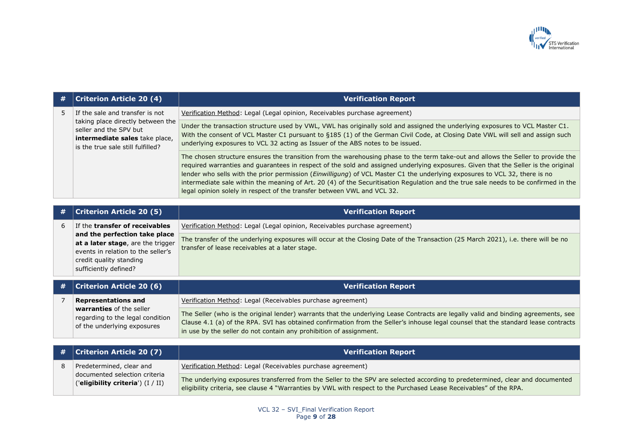

| #              | <b>Criterion Article 20 (4)</b>                                                                                                                              | <b>Verification Report</b>                                                                                                                                                                                                                                                                                                                                                                                                                                                                                                                                                                                             |
|----------------|--------------------------------------------------------------------------------------------------------------------------------------------------------------|------------------------------------------------------------------------------------------------------------------------------------------------------------------------------------------------------------------------------------------------------------------------------------------------------------------------------------------------------------------------------------------------------------------------------------------------------------------------------------------------------------------------------------------------------------------------------------------------------------------------|
| 5              | If the sale and transfer is not                                                                                                                              | Verification Method: Legal (Legal opinion, Receivables purchase agreement)                                                                                                                                                                                                                                                                                                                                                                                                                                                                                                                                             |
|                | taking place directly between the<br>seller and the SPV but<br>intermediate sales take place,<br>is the true sale still fulfilled?                           | Under the transaction structure used by VWL, VWL has originally sold and assigned the underlying exposures to VCL Master C1.<br>With the consent of VCL Master C1 pursuant to §185 (1) of the German Civil Code, at Closing Date VWL will sell and assign such<br>underlying exposures to VCL 32 acting as Issuer of the ABS notes to be issued.                                                                                                                                                                                                                                                                       |
|                |                                                                                                                                                              | The chosen structure ensures the transition from the warehousing phase to the term take-out and allows the Seller to provide the<br>required warranties and guarantees in respect of the sold and assigned underlying exposures. Given that the Seller is the original<br>lender who sells with the prior permission (Einwilligung) of VCL Master C1 the underlying exposures to VCL 32, there is no<br>intermediate sale within the meaning of Art. 20 (4) of the Securitisation Regulation and the true sale needs to be confirmed in the<br>legal opinion solely in respect of the transfer between VWL and VCL 32. |
|                |                                                                                                                                                              |                                                                                                                                                                                                                                                                                                                                                                                                                                                                                                                                                                                                                        |
| #              | <b>Criterion Article 20 (5)</b>                                                                                                                              | <b>Verification Report</b>                                                                                                                                                                                                                                                                                                                                                                                                                                                                                                                                                                                             |
| 6              | If the transfer of receivables                                                                                                                               | Verification Method: Legal (Legal opinion, Receivables purchase agreement)                                                                                                                                                                                                                                                                                                                                                                                                                                                                                                                                             |
|                | and the perfection take place<br>at a later stage, are the trigger<br>events in relation to the seller's<br>credit quality standing<br>sufficiently defined? | The transfer of the underlying exposures will occur at the Closing Date of the Transaction (25 March 2021), i.e. there will be no<br>transfer of lease receivables at a later stage.                                                                                                                                                                                                                                                                                                                                                                                                                                   |
| #              | <b>Criterion Article 20 (6)</b>                                                                                                                              | <b>Verification Report</b>                                                                                                                                                                                                                                                                                                                                                                                                                                                                                                                                                                                             |
| $\overline{7}$ | <b>Representations and</b><br>warranties of the seller<br>regarding to the legal condition<br>of the underlying exposures                                    | Verification Method: Legal (Receivables purchase agreement)                                                                                                                                                                                                                                                                                                                                                                                                                                                                                                                                                            |
|                |                                                                                                                                                              | The Seller (who is the original lender) warrants that the underlying Lease Contracts are legally valid and binding agreements, see<br>Clause 4.1 (a) of the RPA. SVI has obtained confirmation from the Seller's inhouse legal counsel that the standard lease contracts<br>in use by the seller do not contain any prohibition of assignment.                                                                                                                                                                                                                                                                         |
|                |                                                                                                                                                              |                                                                                                                                                                                                                                                                                                                                                                                                                                                                                                                                                                                                                        |
| #              | <b>Criterion Article 20 (7)</b>                                                                                                                              | <b>Verification Report</b>                                                                                                                                                                                                                                                                                                                                                                                                                                                                                                                                                                                             |
| 8              | Predetermined, clear and                                                                                                                                     | Verification Method: Legal (Receivables purchase agreement)                                                                                                                                                                                                                                                                                                                                                                                                                                                                                                                                                            |
|                | documented selection criteria<br>('eligibility criteria') $(I / II)$                                                                                         | The underlying exposures transferred from the Seller to the SPV are selected according to predetermined, clear and documented<br>eligibility criteria, see clause 4 "Warranties by VWL with respect to the Purchased Lease Receivables" of the RPA.                                                                                                                                                                                                                                                                                                                                                                    |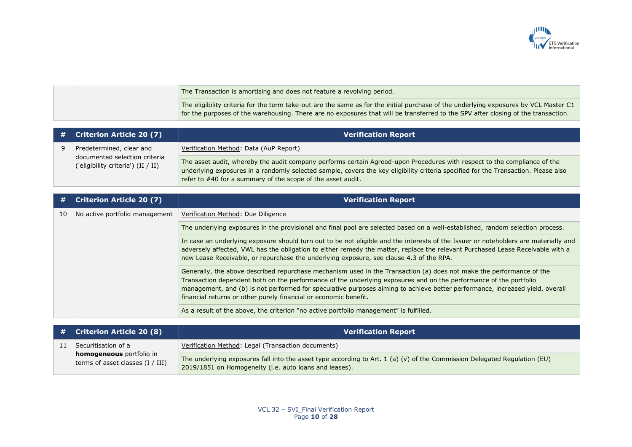

|  | The Transaction is amortising and does not feature a revolving period.                                                                                                                                                                                                    |
|--|---------------------------------------------------------------------------------------------------------------------------------------------------------------------------------------------------------------------------------------------------------------------------|
|  | The eligibility criteria for the term take-out are the same as for the initial purchase of the underlying exposures by VCL Master C1<br>for the purposes of the warehousing. There are no exposures that will be transferred to the SPV after closing of the transaction. |

| $\#$   Criterion Article 20 (7)                                     | <b>Verification Report</b>                                                                                                                                                                                                                                                                                                    |
|---------------------------------------------------------------------|-------------------------------------------------------------------------------------------------------------------------------------------------------------------------------------------------------------------------------------------------------------------------------------------------------------------------------|
| Predetermined, clear and                                            | Verification Method: Data (AuP Report)                                                                                                                                                                                                                                                                                        |
| documented selection criteria<br>('eligibility criteria') (II / II) | The asset audit, whereby the audit company performs certain Agreed-upon Procedures with respect to the compliance of the<br>underlying exposures in a randomly selected sample, covers the key eligibility criteria specified for the Transaction. Please also<br>refer to #40 for a summary of the scope of the asset audit. |

| #  | <b>Criterion Article 20 (7)</b> | <b>Verification Report</b>                                                                                                                                                                                                                                                                                                                                                                                                                    |
|----|---------------------------------|-----------------------------------------------------------------------------------------------------------------------------------------------------------------------------------------------------------------------------------------------------------------------------------------------------------------------------------------------------------------------------------------------------------------------------------------------|
| 10 | No active portfolio management  | Verification Method: Due Diligence                                                                                                                                                                                                                                                                                                                                                                                                            |
|    |                                 | The underlying exposures in the provisional and final pool are selected based on a well-established, random selection process.                                                                                                                                                                                                                                                                                                                |
|    |                                 | In case an underlying exposure should turn out to be not eligible and the interests of the Issuer or noteholders are materially and<br>adversely affected, VWL has the obligation to either remedy the matter, replace the relevant Purchased Lease Receivable with a<br>new Lease Receivable, or repurchase the underlying exposure, see clause 4.3 of the RPA.                                                                              |
|    |                                 | Generally, the above described repurchase mechanism used in the Transaction (a) does not make the performance of the<br>Transaction dependent both on the performance of the underlying exposures and on the performance of the portfolio<br>management, and (b) is not performed for speculative purposes aiming to achieve better performance, increased yield, overall<br>financial returns or other purely financial or economic benefit. |
|    |                                 | As a result of the above, the criterion "no active portfolio management" is fulfilled.                                                                                                                                                                                                                                                                                                                                                        |

| $\#$   Criterion Article 20 (8)                              | <b>Verification Report</b>                                                                                                                                                          |
|--------------------------------------------------------------|-------------------------------------------------------------------------------------------------------------------------------------------------------------------------------------|
| Securitisation of a                                          | Verification Method: Legal (Transaction documents)                                                                                                                                  |
| homogeneous portfolio in<br>terms of asset classes (I / III) | The underlying exposures fall into the asset type according to Art. 1 (a) (v) of the Commission Delegated Regulation (EU)<br>2019/1851 on Homogeneity (i.e. auto loans and leases). |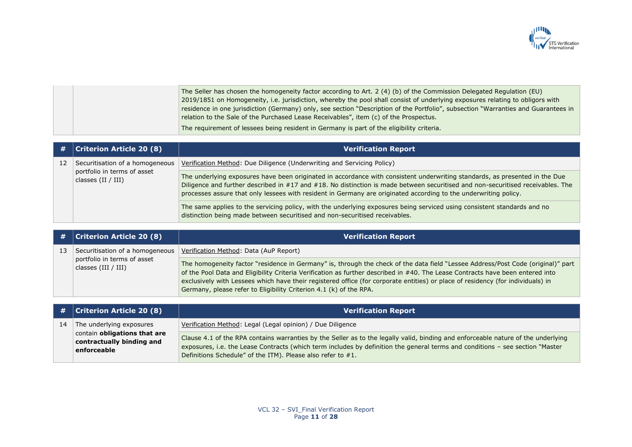

The Seller has chosen the homogeneity factor according to Art. 2 (4) (b) of the Commission Delegated Regulation (EU) 2019/1851 on Homogeneity, i.e. jurisdiction, whereby the pool shall consist of underlying exposures relating to obligors with residence in one jurisdiction (Germany) only, see section "Description of the Portfolio", subsection "Warranties and Guarantees in relation to the Sale of the Purchased Lease Receivables", item (c) of the Prospectus. The requirement of lessees being resident in Germany is part of the eligibility criteria.

| # 1 | <b>Criterion Article 20 (8)</b>                                                        | <b>Verification Report</b>                                                                                                                                                                                                                                                                                                                                                         |
|-----|----------------------------------------------------------------------------------------|------------------------------------------------------------------------------------------------------------------------------------------------------------------------------------------------------------------------------------------------------------------------------------------------------------------------------------------------------------------------------------|
| 12  | Securitisation of a homogeneous<br>portfolio in terms of asset<br>classes $(II / III)$ | Verification Method: Due Diligence (Underwriting and Servicing Policy)                                                                                                                                                                                                                                                                                                             |
|     |                                                                                        | The underlying exposures have been originated in accordance with consistent underwriting standards, as presented in the Due<br>Diligence and further described in #17 and #18. No distinction is made between securitised and non-securitised receivables. The<br>processes assure that only lessees with resident in Germany are originated according to the underwriting policy. |
|     |                                                                                        | The same applies to the servicing policy, with the underlying exposures being serviced using consistent standards and no<br>distinction being made between securitised and non-securitised receivables.                                                                                                                                                                            |

| #  | <b>Criterion Article 20 (8)</b>                      | <b>Verification Report</b>                                                                                                                                                                                                                                                                                                                                                                                                                                                  |
|----|------------------------------------------------------|-----------------------------------------------------------------------------------------------------------------------------------------------------------------------------------------------------------------------------------------------------------------------------------------------------------------------------------------------------------------------------------------------------------------------------------------------------------------------------|
| 13 | Securitisation of a homogeneous                      | Verification Method: Data (AuP Report)                                                                                                                                                                                                                                                                                                                                                                                                                                      |
|    | portfolio in terms of asset<br>classes $(III / III)$ | The homogeneity factor "residence in Germany" is, through the check of the data field "Lessee Address/Post Code (original)" part<br>of the Pool Data and Eligibility Criteria Verification as further described in #40. The Lease Contracts have been entered into<br>exclusively with Lessees which have their registered office (for corporate entities) or place of residency (for individuals) in<br>Germany, please refer to Eligibility Criterion 4.1 (k) of the RPA. |

|    | $\#$   Criterion Article 20 (8)                                                 | <b>Verification Report</b>                                                                                                                                                                                                                                                                                                         |
|----|---------------------------------------------------------------------------------|------------------------------------------------------------------------------------------------------------------------------------------------------------------------------------------------------------------------------------------------------------------------------------------------------------------------------------|
| 14 | The underlying exposures                                                        | Verification Method: Legal (Legal opinion) / Due Diligence                                                                                                                                                                                                                                                                         |
|    | contain <b>obligations that are</b><br>contractually binding and<br>enforceable | Clause 4.1 of the RPA contains warranties by the Seller as to the legally valid, binding and enforceable nature of the underlying<br>exposures, i.e. the Lease Contracts (which term includes by definition the general terms and conditions - see section "Master"<br>Definitions Schedule" of the ITM). Please also refer to #1. |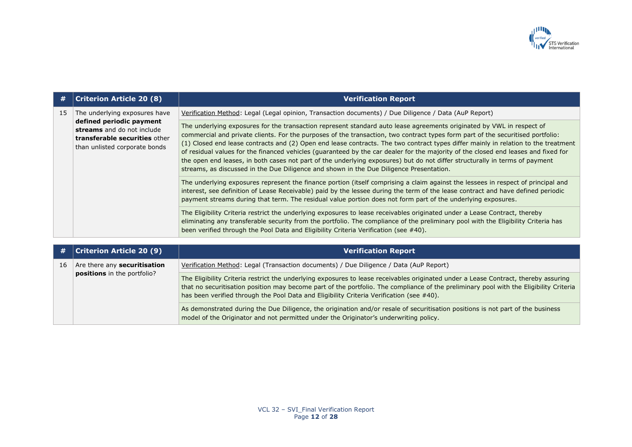

| #  | <b>Criterion Article 20 (8)</b>                                                                                                                           | <b>Verification Report</b>                                                                                                                                                                                                                                                                                                                                                                                                                                                                                                                                                                                                                                                                                                                                     |
|----|-----------------------------------------------------------------------------------------------------------------------------------------------------------|----------------------------------------------------------------------------------------------------------------------------------------------------------------------------------------------------------------------------------------------------------------------------------------------------------------------------------------------------------------------------------------------------------------------------------------------------------------------------------------------------------------------------------------------------------------------------------------------------------------------------------------------------------------------------------------------------------------------------------------------------------------|
| 15 | The underlying exposures have<br>defined periodic payment<br>streams and do not include<br>transferable securities other<br>than unlisted corporate bonds | Verification Method: Legal (Legal opinion, Transaction documents) / Due Diligence / Data (AuP Report)                                                                                                                                                                                                                                                                                                                                                                                                                                                                                                                                                                                                                                                          |
|    |                                                                                                                                                           | The underlying exposures for the transaction represent standard auto lease agreements originated by VWL in respect of<br>commercial and private clients. For the purposes of the transaction, two contract types form part of the securitised portfolio:<br>(1) Closed end lease contracts and (2) Open end lease contracts. The two contract types differ mainly in relation to the treatment<br>of residual values for the financed vehicles (guaranteed by the car dealer for the majority of the closed end leases and fixed for<br>the open end leases, in both cases not part of the underlying exposures) but do not differ structurally in terms of payment<br>streams, as discussed in the Due Diligence and shown in the Due Diligence Presentation. |
|    |                                                                                                                                                           | The underlying exposures represent the finance portion (itself comprising a claim against the lessees in respect of principal and<br>interest, see definition of Lease Receivable) paid by the lessee during the term of the lease contract and have defined periodic<br>payment streams during that term. The residual value portion does not form part of the underlying exposures.                                                                                                                                                                                                                                                                                                                                                                          |
|    |                                                                                                                                                           | The Eligibility Criteria restrict the underlying exposures to lease receivables originated under a Lease Contract, thereby<br>eliminating any transferable security from the portfolio. The compliance of the preliminary pool with the Eligibility Criteria has<br>been verified through the Pool Data and Eligibility Criteria Verification (see #40).                                                                                                                                                                                                                                                                                                                                                                                                       |

| #  | $ $ Criterion Article 20 (9) $ $                                   | <b>Verification Report</b>                                                                                                                                                                                                                                                                                                                                                |
|----|--------------------------------------------------------------------|---------------------------------------------------------------------------------------------------------------------------------------------------------------------------------------------------------------------------------------------------------------------------------------------------------------------------------------------------------------------------|
| 16 | Are there any <b>securitisation</b><br>positions in the portfolio? | Verification Method: Legal (Transaction documents) / Due Diligence / Data (AuP Report)                                                                                                                                                                                                                                                                                    |
|    |                                                                    | The Eligibility Criteria restrict the underlying exposures to lease receivables originated under a Lease Contract, thereby assuring<br>that no securitisation position may become part of the portfolio. The compliance of the preliminary pool with the Eligibility Criteria<br>has been verified through the Pool Data and Eligibility Criteria Verification (see #40). |
|    |                                                                    | As demonstrated during the Due Diligence, the origination and/or resale of securitisation positions is not part of the business<br>model of the Originator and not permitted under the Originator's underwriting policy.                                                                                                                                                  |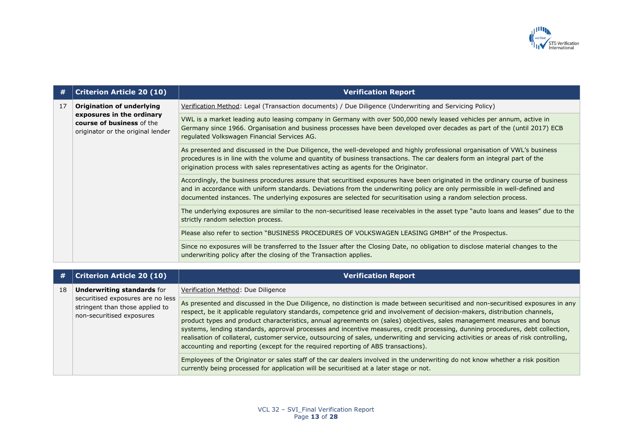

| #  | <b>Criterion Article 20 (10)</b>                                                                                         | <b>Verification Report</b>                                                                                                                                                                                                                                                                                                                                                       |
|----|--------------------------------------------------------------------------------------------------------------------------|----------------------------------------------------------------------------------------------------------------------------------------------------------------------------------------------------------------------------------------------------------------------------------------------------------------------------------------------------------------------------------|
| 17 | Origination of underlying<br>exposures in the ordinary<br>course of business of the<br>originator or the original lender | Verification Method: Legal (Transaction documents) / Due Diligence (Underwriting and Servicing Policy)                                                                                                                                                                                                                                                                           |
|    |                                                                                                                          | VWL is a market leading auto leasing company in Germany with over 500,000 newly leased vehicles per annum, active in<br>Germany since 1966. Organisation and business processes have been developed over decades as part of the (until 2017) ECB<br>regulated Volkswagen Financial Services AG.                                                                                  |
|    |                                                                                                                          | As presented and discussed in the Due Diligence, the well-developed and highly professional organisation of VWL's business<br>procedures is in line with the volume and quantity of business transactions. The car dealers form an integral part of the<br>origination process with sales representatives acting as agents for the Originator.                                   |
|    |                                                                                                                          | Accordingly, the business procedures assure that securitised exposures have been originated in the ordinary course of business<br>and in accordance with uniform standards. Deviations from the underwriting policy are only permissible in well-defined and<br>documented instances. The underlying exposures are selected for securitisation using a random selection process. |
|    |                                                                                                                          | The underlying exposures are similar to the non-securitised lease receivables in the asset type "auto loans and leases" due to the<br>strictly random selection process.                                                                                                                                                                                                         |
|    |                                                                                                                          | Please also refer to section "BUSINESS PROCEDURES OF VOLKSWAGEN LEASING GMBH" of the Prospectus.                                                                                                                                                                                                                                                                                 |
|    |                                                                                                                          | Since no exposures will be transferred to the Issuer after the Closing Date, no obligation to disclose material changes to the<br>underwriting policy after the closing of the Transaction applies.                                                                                                                                                                              |

| #  | <b>Criterion Article 20 (10)</b>                                                                                                       | <b>Verification Report</b>                                                                                                                                                                                                                                                                                                                                                                                                                                                                                                                                                                                                                                                                                                                                 |
|----|----------------------------------------------------------------------------------------------------------------------------------------|------------------------------------------------------------------------------------------------------------------------------------------------------------------------------------------------------------------------------------------------------------------------------------------------------------------------------------------------------------------------------------------------------------------------------------------------------------------------------------------------------------------------------------------------------------------------------------------------------------------------------------------------------------------------------------------------------------------------------------------------------------|
| 18 | <b>Underwriting standards for</b><br>securitised exposures are no less<br>stringent than those applied to<br>non-securitised exposures | Verification Method: Due Diligence                                                                                                                                                                                                                                                                                                                                                                                                                                                                                                                                                                                                                                                                                                                         |
|    |                                                                                                                                        | As presented and discussed in the Due Diligence, no distinction is made between securitised and non-securitised exposures in any<br>respect, be it applicable regulatory standards, competence grid and involvement of decision-makers, distribution channels,<br>product types and product characteristics, annual agreements on (sales) objectives, sales management measures and bonus<br>systems, lending standards, approval processes and incentive measures, credit processing, dunning procedures, debt collection,<br>realisation of collateral, customer service, outsourcing of sales, underwriting and servicing activities or areas of risk controlling,<br>accounting and reporting (except for the required reporting of ABS transactions). |
|    |                                                                                                                                        | Employees of the Originator or sales staff of the car dealers involved in the underwriting do not know whether a risk position<br>currently being processed for application will be securitised at a later stage or not.                                                                                                                                                                                                                                                                                                                                                                                                                                                                                                                                   |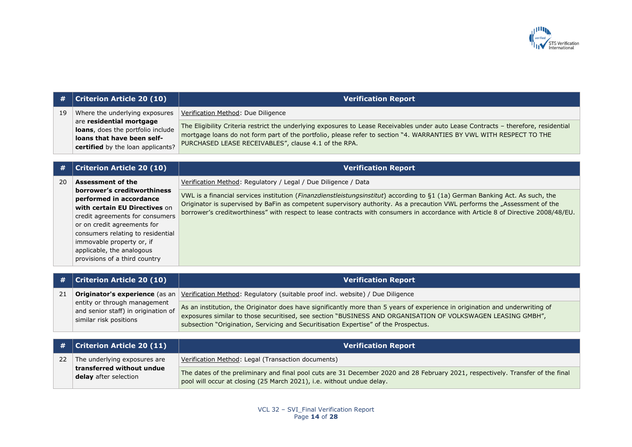

| #  | <b>Criterion Article 20 (10)</b>                                                                                                                                                                                                                                                          | <b>Verification Report</b>                                                                                                                                                                                                                                                                                                                                                                      |
|----|-------------------------------------------------------------------------------------------------------------------------------------------------------------------------------------------------------------------------------------------------------------------------------------------|-------------------------------------------------------------------------------------------------------------------------------------------------------------------------------------------------------------------------------------------------------------------------------------------------------------------------------------------------------------------------------------------------|
| 19 | Where the underlying exposures<br>are residential mortgage<br>loans, does the portfolio include<br>loans that have been self-<br>certified by the loan applicants?                                                                                                                        | Verification Method: Due Diligence                                                                                                                                                                                                                                                                                                                                                              |
|    |                                                                                                                                                                                                                                                                                           | The Eligibility Criteria restrict the underlying exposures to Lease Receivables under auto Lease Contracts - therefore, residential<br>mortgage loans do not form part of the portfolio, please refer to section "4. WARRANTIES BY VWL WITH RESPECT TO THE<br>PURCHASED LEASE RECEIVABLES", clause 4.1 of the RPA.                                                                              |
|    |                                                                                                                                                                                                                                                                                           |                                                                                                                                                                                                                                                                                                                                                                                                 |
| #  | <b>Criterion Article 20 (10)</b>                                                                                                                                                                                                                                                          | <b>Verification Report</b>                                                                                                                                                                                                                                                                                                                                                                      |
| 20 | <b>Assessment of the</b>                                                                                                                                                                                                                                                                  | Verification Method: Regulatory / Legal / Due Diligence / Data                                                                                                                                                                                                                                                                                                                                  |
|    | borrower's creditworthiness<br>performed in accordance<br>with certain EU Directives on<br>credit agreements for consumers<br>or on credit agreements for<br>consumers relating to residential<br>immovable property or, if<br>applicable, the analogous<br>provisions of a third country | VWL is a financial services institution (Finanzdienstleistungsinstitut) according to §1 (1a) German Banking Act. As such, the<br>Originator is supervised by BaFin as competent supervisory authority. As a precaution VWL performs the "Assessment of the<br>borrower's creditworthiness" with respect to lease contracts with consumers in accordance with Article 8 of Directive 2008/48/EU. |
|    |                                                                                                                                                                                                                                                                                           |                                                                                                                                                                                                                                                                                                                                                                                                 |
| #  | <b>Criterion Article 20 (10)</b>                                                                                                                                                                                                                                                          | <b>Verification Report</b>                                                                                                                                                                                                                                                                                                                                                                      |
| 21 | Originator's experience (as an<br>entity or through management<br>and senior staff) in origination of<br>similar risk positions                                                                                                                                                           | Verification Method: Regulatory (suitable proof incl. website) / Due Diligence                                                                                                                                                                                                                                                                                                                  |
|    |                                                                                                                                                                                                                                                                                           | As an institution, the Originator does have significantly more than 5 years of experience in origination and underwriting of<br>exposures similar to those securitised, see section "BUSINESS AND ORGANISATION OF VOLKSWAGEN LEASING GMBH",<br>subsection "Origination, Servicing and Securitisation Expertise" of the Prospectus.                                                              |
|    |                                                                                                                                                                                                                                                                                           |                                                                                                                                                                                                                                                                                                                                                                                                 |
| #  | <b>Criterion Article 20 (11)</b>                                                                                                                                                                                                                                                          | <b>Verification Report</b>                                                                                                                                                                                                                                                                                                                                                                      |
| 22 | The underlying exposures are<br>transferred without undue<br>delay after selection                                                                                                                                                                                                        | Verification Method: Legal (Transaction documents)                                                                                                                                                                                                                                                                                                                                              |
|    |                                                                                                                                                                                                                                                                                           | The dates of the preliminary and final pool cuts are 31 December 2020 and 28 February 2021, respectively. Transfer of the final<br>pool will occur at closing (25 March 2021), i.e. without undue delay.                                                                                                                                                                                        |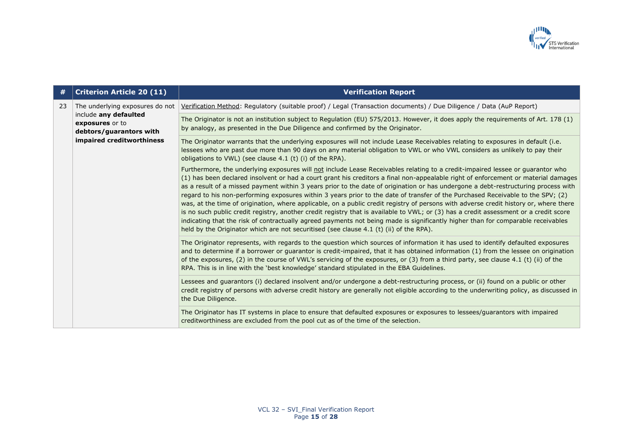

| #  | <b>Criterion Article 20 (11)</b>                                                                                                    | <b>Verification Report</b>                                                                                                                                                                                                                                                                                                                                                                                                                                                                                                                                                                                                                                                                                                                                                                                                                                                                                                                                                                                                                                    |
|----|-------------------------------------------------------------------------------------------------------------------------------------|---------------------------------------------------------------------------------------------------------------------------------------------------------------------------------------------------------------------------------------------------------------------------------------------------------------------------------------------------------------------------------------------------------------------------------------------------------------------------------------------------------------------------------------------------------------------------------------------------------------------------------------------------------------------------------------------------------------------------------------------------------------------------------------------------------------------------------------------------------------------------------------------------------------------------------------------------------------------------------------------------------------------------------------------------------------|
| 23 | The underlying exposures do not<br>include any defaulted<br>exposures or to<br>debtors/guarantors with<br>impaired creditworthiness | Verification Method: Regulatory (suitable proof) / Legal (Transaction documents) / Due Diligence / Data (AuP Report)                                                                                                                                                                                                                                                                                                                                                                                                                                                                                                                                                                                                                                                                                                                                                                                                                                                                                                                                          |
|    |                                                                                                                                     | The Originator is not an institution subject to Regulation (EU) 575/2013. However, it does apply the requirements of Art. 178 (1)<br>by analogy, as presented in the Due Diligence and confirmed by the Originator.                                                                                                                                                                                                                                                                                                                                                                                                                                                                                                                                                                                                                                                                                                                                                                                                                                           |
|    |                                                                                                                                     | The Originator warrants that the underlying exposures will not include Lease Receivables relating to exposures in default (i.e.<br>lessees who are past due more than 90 days on any material obligation to VWL or who VWL considers as unlikely to pay their<br>obligations to VWL) (see clause 4.1 (t) (i) of the RPA).                                                                                                                                                                                                                                                                                                                                                                                                                                                                                                                                                                                                                                                                                                                                     |
|    |                                                                                                                                     | Furthermore, the underlying exposures will not include Lease Receivables relating to a credit-impaired lessee or guarantor who<br>(1) has been declared insolvent or had a court grant his creditors a final non-appealable right of enforcement or material damages<br>as a result of a missed payment within 3 years prior to the date of origination or has undergone a debt-restructuring process with<br>regard to his non-performing exposures within 3 years prior to the date of transfer of the Purchased Receivable to the SPV; (2)<br>was, at the time of origination, where applicable, on a public credit registry of persons with adverse credit history or, where there<br>is no such public credit registry, another credit registry that is available to VWL; or (3) has a credit assessment or a credit score<br>indicating that the risk of contractually agreed payments not being made is significantly higher than for comparable receivables<br>held by the Originator which are not securitised (see clause 4.1 (t) (ii) of the RPA). |
|    |                                                                                                                                     | The Originator represents, with regards to the question which sources of information it has used to identify defaulted exposures<br>and to determine if a borrower or guarantor is credit-impaired, that it has obtained information (1) from the lessee on origination<br>of the exposures, (2) in the course of VWL's servicing of the exposures, or (3) from a third party, see clause 4.1 (t) (ii) of the<br>RPA. This is in line with the 'best knowledge' standard stipulated in the EBA Guidelines.                                                                                                                                                                                                                                                                                                                                                                                                                                                                                                                                                    |
|    |                                                                                                                                     | Lessees and guarantors (i) declared insolvent and/or undergone a debt-restructuring process, or (ii) found on a public or other<br>credit registry of persons with adverse credit history are generally not eligible according to the underwriting policy, as discussed in<br>the Due Diligence.                                                                                                                                                                                                                                                                                                                                                                                                                                                                                                                                                                                                                                                                                                                                                              |
|    |                                                                                                                                     | The Originator has IT systems in place to ensure that defaulted exposures or exposures to lessees/guarantors with impaired<br>creditworthiness are excluded from the pool cut as of the time of the selection.                                                                                                                                                                                                                                                                                                                                                                                                                                                                                                                                                                                                                                                                                                                                                                                                                                                |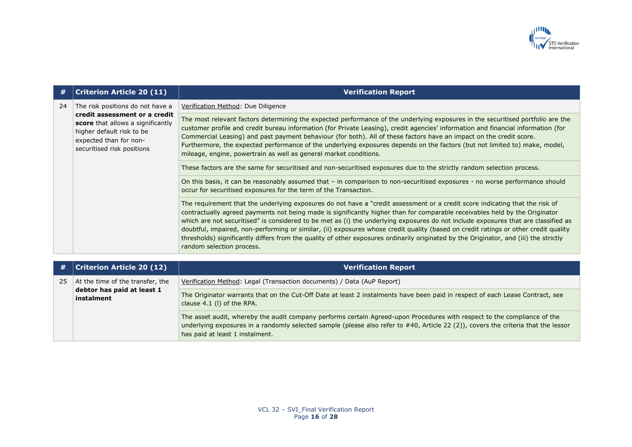

| 24 | The risk positions do not have a<br>credit assessment or a credit<br>score that allows a significantly<br>higher default risk to be<br>expected than for non-<br>securitised risk positions | Verification Method: Due Diligence                                                                                                                                                                                                                                                                                                                                                                                                                                                                                                                                                                                                                                                                             |
|----|---------------------------------------------------------------------------------------------------------------------------------------------------------------------------------------------|----------------------------------------------------------------------------------------------------------------------------------------------------------------------------------------------------------------------------------------------------------------------------------------------------------------------------------------------------------------------------------------------------------------------------------------------------------------------------------------------------------------------------------------------------------------------------------------------------------------------------------------------------------------------------------------------------------------|
|    |                                                                                                                                                                                             | The most relevant factors determining the expected performance of the underlying exposures in the securitised portfolio are the<br>customer profile and credit bureau information (for Private Leasing), credit agencies' information and financial information (for<br>Commercial Leasing) and past payment behaviour (for both). All of these factors have an impact on the credit score.<br>Furthermore, the expected performance of the underlying exposures depends on the factors (but not limited to) make, model,<br>mileage, engine, powertrain as well as general market conditions.                                                                                                                 |
|    |                                                                                                                                                                                             | These factors are the same for securitised and non-securitised exposures due to the strictly random selection process.                                                                                                                                                                                                                                                                                                                                                                                                                                                                                                                                                                                         |
|    |                                                                                                                                                                                             | On this basis, it can be reasonably assumed that – in comparison to non-securitised exposures - no worse performance should<br>occur for securitised exposures for the term of the Transaction.                                                                                                                                                                                                                                                                                                                                                                                                                                                                                                                |
|    |                                                                                                                                                                                             | The requirement that the underlying exposures do not have a "credit assessment or a credit score indicating that the risk of<br>contractually agreed payments not being made is significantly higher than for comparable receivables held by the Originator<br>which are not securitised" is considered to be met as (i) the underlying exposures do not include exposures that are classified as<br>doubtful, impaired, non-performing or similar, (ii) exposures whose credit quality (based on credit ratings or other credit quality<br>thresholds) significantly differs from the quality of other exposures ordinarily originated by the Originator, and (iii) the strictly<br>random selection process. |

| #  | <b>Criterion Article 20 (12)</b>                                             | <b>Verification Report</b>                                                                                                                                                                                                                                                                        |
|----|------------------------------------------------------------------------------|---------------------------------------------------------------------------------------------------------------------------------------------------------------------------------------------------------------------------------------------------------------------------------------------------|
| 25 | At the time of the transfer, the<br>debtor has paid at least 1<br>instalment | Verification Method: Legal (Transaction documents) / Data (AuP Report)                                                                                                                                                                                                                            |
|    |                                                                              | The Originator warrants that on the Cut-Off Date at least 2 instalments have been paid in respect of each Lease Contract, see<br>clause 4.1 (I) of the RPA.                                                                                                                                       |
|    |                                                                              | The asset audit, whereby the audit company performs certain Agreed-upon Procedures with respect to the compliance of the<br>underlying exposures in a randomly selected sample (please also refer to #40, Article 22 (2)), covers the criteria that the lessor<br>has paid at least 1 instalment. |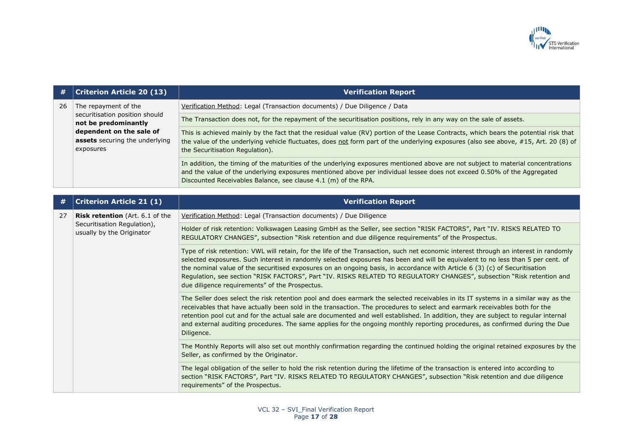

| #  | <b>Criterion Article 20 (13)</b>                                        | <b>Verification Report</b>                                                                                                                                                                                                                                                                                                                                                                                                                                                                                                                                                        |
|----|-------------------------------------------------------------------------|-----------------------------------------------------------------------------------------------------------------------------------------------------------------------------------------------------------------------------------------------------------------------------------------------------------------------------------------------------------------------------------------------------------------------------------------------------------------------------------------------------------------------------------------------------------------------------------|
| 26 | The repayment of the                                                    | Verification Method: Legal (Transaction documents) / Due Diligence / Data                                                                                                                                                                                                                                                                                                                                                                                                                                                                                                         |
|    | securitisation position should<br>not be predominantly                  | The Transaction does not, for the repayment of the securitisation positions, rely in any way on the sale of assets.                                                                                                                                                                                                                                                                                                                                                                                                                                                               |
|    | dependent on the sale of<br>assets securing the underlying<br>exposures | This is achieved mainly by the fact that the residual value (RV) portion of the Lease Contracts, which bears the potential risk that<br>the value of the underlying vehicle fluctuates, does not form part of the underlying exposures (also see above, #15, Art. 20 (8) of<br>the Securitisation Regulation).                                                                                                                                                                                                                                                                    |
|    |                                                                         | In addition, the timing of the maturities of the underlying exposures mentioned above are not subject to material concentrations<br>and the value of the underlying exposures mentioned above per individual lessee does not exceed 0.50% of the Aggregated<br>Discounted Receivables Balance, see clause 4.1 (m) of the RPA.                                                                                                                                                                                                                                                     |
|    | <b>Criterion Article 21 (1)</b>                                         | <b>Verification Report</b>                                                                                                                                                                                                                                                                                                                                                                                                                                                                                                                                                        |
| 27 | <b>Risk retention</b> (Art. 6.1 of the                                  | Verification Method: Legal (Transaction documents) / Due Diligence                                                                                                                                                                                                                                                                                                                                                                                                                                                                                                                |
|    | Securitisation Regulation),<br>usually by the Originator                | Holder of risk retention: Volkswagen Leasing GmbH as the Seller, see section "RISK FACTORS", Part "IV. RISKS RELATED TO<br>REGULATORY CHANGES", subsection "Risk retention and due diligence requirements" of the Prospectus.                                                                                                                                                                                                                                                                                                                                                     |
|    |                                                                         | Type of risk retention: VWL will retain, for the life of the Transaction, such net economic interest through an interest in randomly<br>selected exposures. Such interest in randomly selected exposures has been and will be equivalent to no less than 5 per cent. of<br>the nominal value of the securitised exposures on an ongoing basis, in accordance with Article 6 (3) (c) of Securitisation<br>Regulation, see section "RISK FACTORS", Part "IV. RISKS RELATED TO REGULATORY CHANGES", subsection "Risk retention and<br>due diligence requirements" of the Prospectus. |
|    |                                                                         | The Seller does select the risk retention pool and does earmark the selected receivables in its IT systems in a similar way as the<br>receivables that have actually been sold in the transaction. The procedures to select and earmark receivables both for the<br>retention pool cut and for the actual sale are documented and well established. In addition, they are subject to regular internal<br>and external auditing procedures. The same applies for the ongoing monthly reporting procedures, as confirmed during the Due<br>Diligence.                               |
|    |                                                                         | The Monthly Reports will also set out monthly confirmation regarding the continued holding the original retained exposures by the<br>Seller, as confirmed by the Originator.                                                                                                                                                                                                                                                                                                                                                                                                      |
|    |                                                                         | The legal obligation of the seller to hold the risk retention during the lifetime of the transaction is entered into according to<br>section "RISK FACTORS", Part "IV. RISKS RELATED TO REGULATORY CHANGES", subsection "Risk retention and due diligence<br>requirements" of the Prospectus.                                                                                                                                                                                                                                                                                     |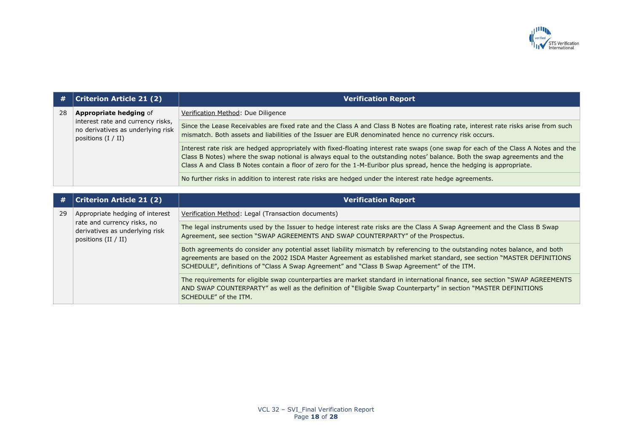

| #  | <b>Criterion Article 21 (2)</b>                                                                                           | <b>Verification Report</b>                                                                                                                                                                                                                                                                                                                                                                |
|----|---------------------------------------------------------------------------------------------------------------------------|-------------------------------------------------------------------------------------------------------------------------------------------------------------------------------------------------------------------------------------------------------------------------------------------------------------------------------------------------------------------------------------------|
| 28 | <b>Appropriate hedging of</b>                                                                                             | Verification Method: Due Diligence                                                                                                                                                                                                                                                                                                                                                        |
|    | interest rate and currency risks,<br>no derivatives as underlying risk<br>positions $(I / II)$                            | Since the Lease Receivables are fixed rate and the Class A and Class B Notes are floating rate, interest rate risks arise from such<br>mismatch. Both assets and liabilities of the Issuer are EUR denominated hence no currency risk occurs.                                                                                                                                             |
|    |                                                                                                                           | Interest rate risk are hedged appropriately with fixed-floating interest rate swaps (one swap for each of the Class A Notes and the<br>Class B Notes) where the swap notional is always equal to the outstanding notes' balance. Both the swap agreements and the<br>Class A and Class B Notes contain a floor of zero for the 1-M-Euribor plus spread, hence the hedging is appropriate. |
|    |                                                                                                                           | No further risks in addition to interest rate risks are hedged under the interest rate hedge agreements.                                                                                                                                                                                                                                                                                  |
|    |                                                                                                                           |                                                                                                                                                                                                                                                                                                                                                                                           |
| #  | <b>Criterion Article 21 (2)</b>                                                                                           | <b>Verification Report</b>                                                                                                                                                                                                                                                                                                                                                                |
| 29 | Appropriate hedging of interest<br>rate and currency risks, no<br>derivatives as underlying risk<br>positions $(II / II)$ | Verification Method: Legal (Transaction documents)                                                                                                                                                                                                                                                                                                                                        |
|    |                                                                                                                           | The legal instruments used by the Issuer to hedge interest rate risks are the Class A Swap Agreement and the Class B Swap<br>Agreement, see section "SWAP AGREEMENTS AND SWAP COUNTERPARTY" of the Prospectus.                                                                                                                                                                            |
|    |                                                                                                                           | Both agreements do consider any potential asset liability mismatch by referencing to the outstanding notes balance, and both<br>agreements are based on the 2002 ISDA Master Agreement as established market standard, see section "MASTER DEFINITIONS<br>SCHEDULE", definitions of "Class A Swap Agreement" and "Class B Swap Agreement" of the ITM.                                     |
|    |                                                                                                                           | The requirements for eligible swap counterparties are market standard in international finance, see section "SWAP AGREEMENTS<br>AND SWAP COUNTERPARTY" as well as the definition of "Eligible Swap Counterparty" in section "MASTER DEFINITIONS<br>SCHEDULE" of the ITM.                                                                                                                  |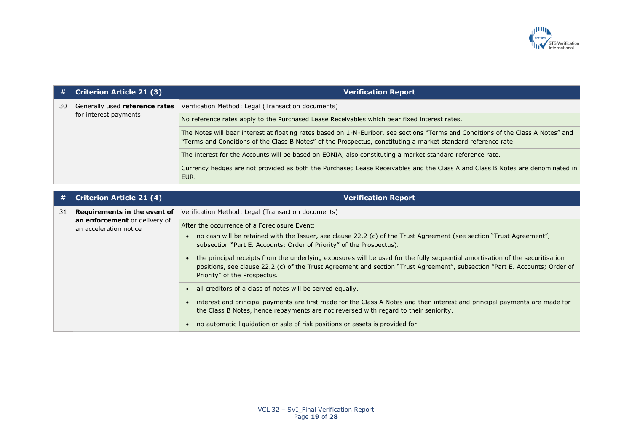

| #  | <b>Criterion Article 21 (3)</b>                         | <b>Verification Report</b>                                                                                                                                                                                                                         |
|----|---------------------------------------------------------|----------------------------------------------------------------------------------------------------------------------------------------------------------------------------------------------------------------------------------------------------|
| 30 | Generally used reference rates<br>for interest payments | Verification Method: Legal (Transaction documents)                                                                                                                                                                                                 |
|    |                                                         | No reference rates apply to the Purchased Lease Receivables which bear fixed interest rates.                                                                                                                                                       |
|    |                                                         | The Notes will bear interest at floating rates based on 1-M-Euribor, see sections "Terms and Conditions of the Class A Notes" and<br>"Terms and Conditions of the Class B Notes" of the Prospectus, constituting a market standard reference rate. |
|    |                                                         | The interest for the Accounts will be based on EONIA, also constituting a market standard reference rate.                                                                                                                                          |
|    |                                                         | Currency hedges are not provided as both the Purchased Lease Receivables and the Class A and Class B Notes are denominated in<br>EUR.                                                                                                              |

| #  | <b>Criterion Article 21 (4)</b>                         | <b>Verification Report</b>                                                                                                                                                                                                                                                                   |
|----|---------------------------------------------------------|----------------------------------------------------------------------------------------------------------------------------------------------------------------------------------------------------------------------------------------------------------------------------------------------|
| 31 | Requirements in the event of                            | Verification Method: Legal (Transaction documents)                                                                                                                                                                                                                                           |
|    | an enforcement or delivery of<br>an acceleration notice | After the occurrence of a Foreclosure Event:<br>no cash will be retained with the Issuer, see clause 22.2 (c) of the Trust Agreement (see section "Trust Agreement",<br>subsection "Part E. Accounts; Order of Priority" of the Prospectus).                                                 |
|    |                                                         | the principal receipts from the underlying exposures will be used for the fully sequential amortisation of the securitisation<br>positions, see clause 22.2 (c) of the Trust Agreement and section "Trust Agreement", subsection "Part E. Accounts; Order of<br>Priority" of the Prospectus. |
|    |                                                         | • all creditors of a class of notes will be served equally.                                                                                                                                                                                                                                  |
|    |                                                         | interest and principal payments are first made for the Class A Notes and then interest and principal payments are made for<br>the Class B Notes, hence repayments are not reversed with regard to their seniority.                                                                           |
|    |                                                         | no automatic liquidation or sale of risk positions or assets is provided for.                                                                                                                                                                                                                |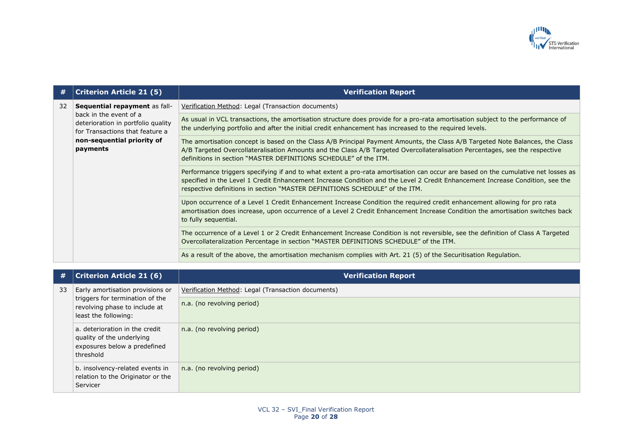

| #  | <b>Criterion Article 21 (5)</b>                                                                                                           | <b>Verification Report</b>                                                                                                                                                                                                                                                                                                                        |
|----|-------------------------------------------------------------------------------------------------------------------------------------------|---------------------------------------------------------------------------------------------------------------------------------------------------------------------------------------------------------------------------------------------------------------------------------------------------------------------------------------------------|
| 32 | Sequential repayment as fall-                                                                                                             | Verification Method: Legal (Transaction documents)                                                                                                                                                                                                                                                                                                |
|    | back in the event of a<br>deterioration in portfolio quality<br>for Transactions that feature a<br>non-sequential priority of<br>payments | As usual in VCL transactions, the amortisation structure does provide for a pro-rata amortisation subject to the performance of<br>the underlying portfolio and after the initial credit enhancement has increased to the required levels.                                                                                                        |
|    |                                                                                                                                           | The amortisation concept is based on the Class A/B Principal Payment Amounts, the Class A/B Targeted Note Balances, the Class<br>A/B Targeted Overcollateralisation Amounts and the Class A/B Targeted Overcollateralisation Percentages, see the respective<br>definitions in section "MASTER DEFINITIONS SCHEDULE" of the ITM.                  |
|    |                                                                                                                                           | Performance triggers specifying if and to what extent a pro-rata amortisation can occur are based on the cumulative net losses as<br>specified in the Level 1 Credit Enhancement Increase Condition and the Level 2 Credit Enhancement Increase Condition, see the<br>respective definitions in section "MASTER DEFINITIONS SCHEDULE" of the ITM. |
|    |                                                                                                                                           | Upon occurrence of a Level 1 Credit Enhancement Increase Condition the required credit enhancement allowing for pro rata<br>amortisation does increase, upon occurrence of a Level 2 Credit Enhancement Increase Condition the amortisation switches back<br>to fully sequential.                                                                 |
|    |                                                                                                                                           | The occurrence of a Level 1 or 2 Credit Enhancement Increase Condition is not reversible, see the definition of Class A Targeted<br>Overcollateralization Percentage in section "MASTER DEFINITIONS SCHEDULE" of the ITM.                                                                                                                         |
|    |                                                                                                                                           | As a result of the above, the amortisation mechanism complies with Art. 21 (5) of the Securitisation Regulation.                                                                                                                                                                                                                                  |

| #  | <b>Criterion Article 21 (6)</b>                                                                                              | <b>Verification Report</b>                         |
|----|------------------------------------------------------------------------------------------------------------------------------|----------------------------------------------------|
| 33 | Early amortisation provisions or<br>triggers for termination of the<br>revolving phase to include at<br>least the following: | Verification Method: Legal (Transaction documents) |
|    |                                                                                                                              | n.a. (no revolving period)                         |
|    | a. deterioration in the credit<br>quality of the underlying<br>exposures below a predefined<br>threshold                     | n.a. (no revolving period)                         |
|    | b. insolvency-related events in<br>relation to the Originator or the<br>Servicer                                             | n.a. (no revolving period)                         |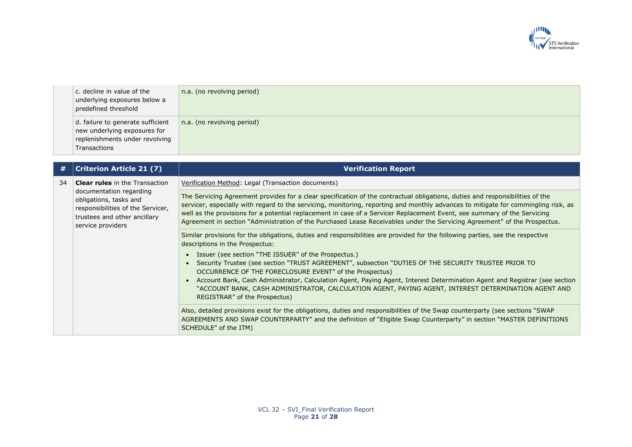

| c. decline in value of the<br>underlying exposures below a<br>predefined threshold                  | n.a. (no revolving period) |
|-----------------------------------------------------------------------------------------------------|----------------------------|
| d. failure to generate sufficient<br>new underlying exposures for<br>replenishments under revolving | n.a. (no revolving period) |
| Transactions                                                                                        |                            |

| #  | <b>Criterion Article 21 (7)</b>                                                                                                             | <b>Verification Report</b>                                                                                                                                                                                                                                                                                                                                                                                                                                                                                                   |
|----|---------------------------------------------------------------------------------------------------------------------------------------------|------------------------------------------------------------------------------------------------------------------------------------------------------------------------------------------------------------------------------------------------------------------------------------------------------------------------------------------------------------------------------------------------------------------------------------------------------------------------------------------------------------------------------|
| 34 | <b>Clear rules</b> in the Transaction                                                                                                       | Verification Method: Legal (Transaction documents)                                                                                                                                                                                                                                                                                                                                                                                                                                                                           |
|    | documentation regarding<br>obligations, tasks and<br>responsibilities of the Servicer,<br>trustees and other ancillary<br>service providers | The Servicing Agreement provides for a clear specification of the contractual obligations, duties and responsibilities of the<br>servicer, especially with regard to the servicing, monitoring, reporting and monthly advances to mitigate for commingling risk, as<br>well as the provisions for a potential replacement in case of a Servicer Replacement Event, see summary of the Servicing<br>Agreement in section "Administration of the Purchased Lease Receivables under the Servicing Agreement" of the Prospectus. |
|    |                                                                                                                                             | Similar provisions for the obligations, duties and responsibilities are provided for the following parties, see the respective<br>descriptions in the Prospectus:                                                                                                                                                                                                                                                                                                                                                            |
|    |                                                                                                                                             | • Issuer (see section "THE ISSUER" of the Prospectus.)<br>• Security Trustee (see section "TRUST AGREEMENT", subsection "DUTIES OF THE SECURITY TRUSTEE PRIOR TO<br>OCCURRENCE OF THE FORECLOSURE EVENT" of the Prospectus)<br>Account Bank, Cash Administrator, Calculation Agent, Paying Agent, Interest Determination Agent and Registrar (see section                                                                                                                                                                    |
|    |                                                                                                                                             | "ACCOUNT BANK, CASH ADMINISTRATOR, CALCULATION AGENT, PAYING AGENT, INTEREST DETERMINATION AGENT AND<br>REGISTRAR" of the Prospectus)                                                                                                                                                                                                                                                                                                                                                                                        |
|    |                                                                                                                                             | Also, detailed provisions exist for the obligations, duties and responsibilities of the Swap counterparty (see sections "SWAP<br>AGREEMENTS AND SWAP COUNTERPARTY" and the definition of "Eligible Swap Counterparty" in section "MASTER DEFINITIONS<br>SCHEDULE" of the ITM)                                                                                                                                                                                                                                                |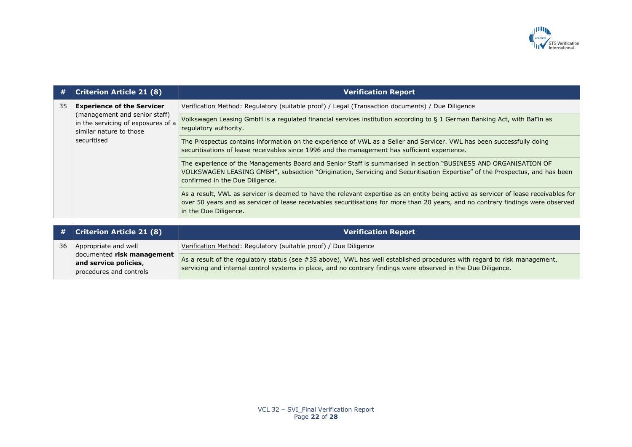

| #  | <b>Criterion Article 21 (8)</b>                                                                               | <b>Verification Report</b>                                                                                                                                                                                                                                                                         |
|----|---------------------------------------------------------------------------------------------------------------|----------------------------------------------------------------------------------------------------------------------------------------------------------------------------------------------------------------------------------------------------------------------------------------------------|
| 35 | <b>Experience of the Servicer</b>                                                                             | Verification Method: Regulatory (suitable proof) / Legal (Transaction documents) / Due Diligence                                                                                                                                                                                                   |
|    | (management and senior staff)<br>in the servicing of exposures of a<br>similar nature to those<br>securitised | Volkswagen Leasing GmbH is a regulated financial services institution according to § 1 German Banking Act, with BaFin as<br>regulatory authority.                                                                                                                                                  |
|    |                                                                                                               | The Prospectus contains information on the experience of VWL as a Seller and Servicer. VWL has been successfully doing<br>securitisations of lease receivables since 1996 and the management has sufficient experience.                                                                            |
|    |                                                                                                               | The experience of the Managements Board and Senior Staff is summarised in section "BUSINESS AND ORGANISATION OF<br>VOLKSWAGEN LEASING GMBH", subsection "Origination, Servicing and Securitisation Expertise" of the Prospectus, and has been<br>confirmed in the Due Diligence.                   |
|    |                                                                                                               | As a result, VWL as servicer is deemed to have the relevant expertise as an entity being active as servicer of lease receivables for<br>over 50 years and as servicer of lease receivables securitisations for more than 20 years, and no contrary findings were observed<br>in the Due Diligence. |

|    | $\#$ $ $ Criterion Article 21 (8)                   | <b>Verification Report</b>                                                                                                |
|----|-----------------------------------------------------|---------------------------------------------------------------------------------------------------------------------------|
| 36 | Appropriate and well                                | Verification Method: Regulatory (suitable proof) / Due Diligence                                                          |
|    | documented risk management<br>and service policies, | As a result of the regulatory status (see #35 above), VWL has well established procedures with regard to risk management, |
|    | procedures and controls                             | servicing and internal control systems in place, and no contrary findings were observed in the Due Diligence.             |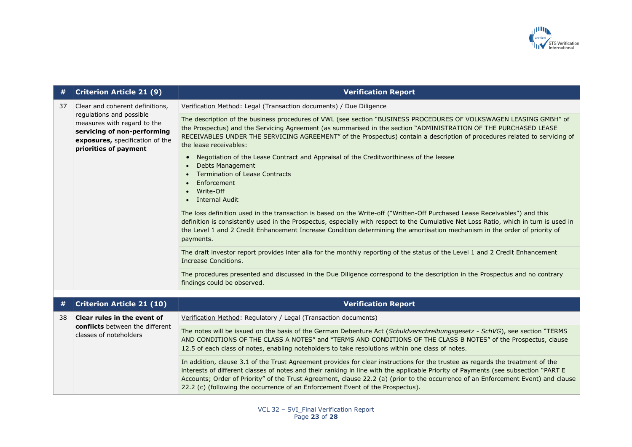

| #  | <b>Criterion Article 21 (9)</b>                                                                                                                                                       | <b>Verification Report</b>                                                                                                                                                                                                                                                                                                                                                                                     |
|----|---------------------------------------------------------------------------------------------------------------------------------------------------------------------------------------|----------------------------------------------------------------------------------------------------------------------------------------------------------------------------------------------------------------------------------------------------------------------------------------------------------------------------------------------------------------------------------------------------------------|
| 37 | Clear and coherent definitions,<br>regulations and possible<br>measures with regard to the<br>servicing of non-performing<br>exposures, specification of the<br>priorities of payment | Verification Method: Legal (Transaction documents) / Due Diligence                                                                                                                                                                                                                                                                                                                                             |
|    |                                                                                                                                                                                       | The description of the business procedures of VWL (see section "BUSINESS PROCEDURES OF VOLKSWAGEN LEASING GMBH" of<br>the Prospectus) and the Servicing Agreement (as summarised in the section "ADMINISTRATION OF THE PURCHASED LEASE<br>RECEIVABLES UNDER THE SERVICING AGREEMENT" of the Prospectus) contain a description of procedures related to servicing of<br>the lease receivables:                  |
|    |                                                                                                                                                                                       | Negotiation of the Lease Contract and Appraisal of the Creditworthiness of the lessee<br><b>Debts Management</b><br><b>Termination of Lease Contracts</b>                                                                                                                                                                                                                                                      |
|    |                                                                                                                                                                                       | Enforcement<br>Write-Off<br><b>Internal Audit</b>                                                                                                                                                                                                                                                                                                                                                              |
|    |                                                                                                                                                                                       | The loss definition used in the transaction is based on the Write-off ("Written-Off Purchased Lease Receivables") and this<br>definition is consistently used in the Prospectus, especially with respect to the Cumulative Net Loss Ratio, which in turn is used in<br>the Level 1 and 2 Credit Enhancement Increase Condition determining the amortisation mechanism in the order of priority of<br>payments. |
|    |                                                                                                                                                                                       | The draft investor report provides inter alia for the monthly reporting of the status of the Level 1 and 2 Credit Enhancement<br>Increase Conditions.                                                                                                                                                                                                                                                          |
|    |                                                                                                                                                                                       | The procedures presented and discussed in the Due Diligence correspond to the description in the Prospectus and no contrary<br>findings could be observed.                                                                                                                                                                                                                                                     |
|    |                                                                                                                                                                                       |                                                                                                                                                                                                                                                                                                                                                                                                                |
|    | <b>Criterion Article 21 (10)</b>                                                                                                                                                      | <b>Verification Report</b>                                                                                                                                                                                                                                                                                                                                                                                     |

| #  | Criterion Article 21 (10)                                                                | <b>Verification Report</b>                                                                                                                                                                                                                                                                                                                                                                                                                                                                  |
|----|------------------------------------------------------------------------------------------|---------------------------------------------------------------------------------------------------------------------------------------------------------------------------------------------------------------------------------------------------------------------------------------------------------------------------------------------------------------------------------------------------------------------------------------------------------------------------------------------|
| 38 | Clear rules in the event of<br>conflicts between the different<br>classes of noteholders | Verification Method: Regulatory / Legal (Transaction documents)                                                                                                                                                                                                                                                                                                                                                                                                                             |
|    |                                                                                          | The notes will be issued on the basis of the German Debenture Act (Schuldverschreibungsgesetz - SchVG), see section "TERMS<br>AND CONDITIONS OF THE CLASS A NOTES" and "TERMS AND CONDITIONS OF THE CLASS B NOTES" of the Prospectus, clause<br>12.5 of each class of notes, enabling noteholders to take resolutions within one class of notes.                                                                                                                                            |
|    |                                                                                          | In addition, clause 3.1 of the Trust Agreement provides for clear instructions for the trustee as regards the treatment of the<br>interests of different classes of notes and their ranking in line with the applicable Priority of Payments (see subsection "PART E<br>Accounts; Order of Priority" of the Trust Agreement, clause 22.2 (a) (prior to the occurrence of an Enforcement Event) and clause<br>22.2 (c) (following the occurrence of an Enforcement Event of the Prospectus). |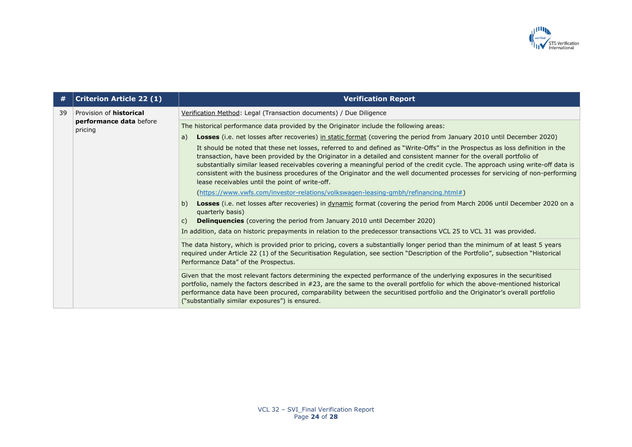

| #  | <b>Criterion Article 22 (1)</b>    | <b>Verification Report</b>                                                                                                                                                                                                                                                                                                                                                                                                                                                                                                                                               |
|----|------------------------------------|--------------------------------------------------------------------------------------------------------------------------------------------------------------------------------------------------------------------------------------------------------------------------------------------------------------------------------------------------------------------------------------------------------------------------------------------------------------------------------------------------------------------------------------------------------------------------|
| 39 | Provision of <b>historical</b>     | Verification Method: Legal (Transaction documents) / Due Diligence                                                                                                                                                                                                                                                                                                                                                                                                                                                                                                       |
|    | performance data before<br>pricing | The historical performance data provided by the Originator include the following areas:                                                                                                                                                                                                                                                                                                                                                                                                                                                                                  |
|    |                                    | Losses (i.e. net losses after recoveries) in static format (covering the period from January 2010 until December 2020)<br>a)                                                                                                                                                                                                                                                                                                                                                                                                                                             |
|    |                                    | It should be noted that these net losses, referred to and defined as "Write-Offs" in the Prospectus as loss definition in the<br>transaction, have been provided by the Originator in a detailed and consistent manner for the overall portfolio of<br>substantially similar leased receivables covering a meaningful period of the credit cycle. The approach using write-off data is<br>consistent with the business procedures of the Originator and the well documented processes for servicing of non-performing<br>lease receivables until the point of write-off. |
|    |                                    | (https://www.vwfs.com/investor-relations/volkswagen-leasing-gmbh/refinancing.html#)                                                                                                                                                                                                                                                                                                                                                                                                                                                                                      |
|    |                                    | Losses (i.e. net losses after recoveries) in dynamic format (covering the period from March 2006 until December 2020 on a<br>b)<br>quarterly basis)                                                                                                                                                                                                                                                                                                                                                                                                                      |
|    |                                    | <b>Delinguencies</b> (covering the period from January 2010 until December 2020)<br>$\mathsf{C}$                                                                                                                                                                                                                                                                                                                                                                                                                                                                         |
|    |                                    | In addition, data on historic prepayments in relation to the predecessor transactions VCL 25 to VCL 31 was provided.                                                                                                                                                                                                                                                                                                                                                                                                                                                     |
|    |                                    | The data history, which is provided prior to pricing, covers a substantially longer period than the minimum of at least 5 years<br>required under Article 22 (1) of the Securitisation Requlation, see section "Description of the Portfolio", subsection "Historical<br>Performance Data" of the Prospectus.                                                                                                                                                                                                                                                            |
|    |                                    | Given that the most relevant factors determining the expected performance of the underlying exposures in the securitised<br>portfolio, namely the factors described in #23, are the same to the overall portfolio for which the above-mentioned historical<br>performance data have been procured, comparability between the securitised portfolio and the Originator's overall portfolio<br>("substantially similar exposures") is ensured.                                                                                                                             |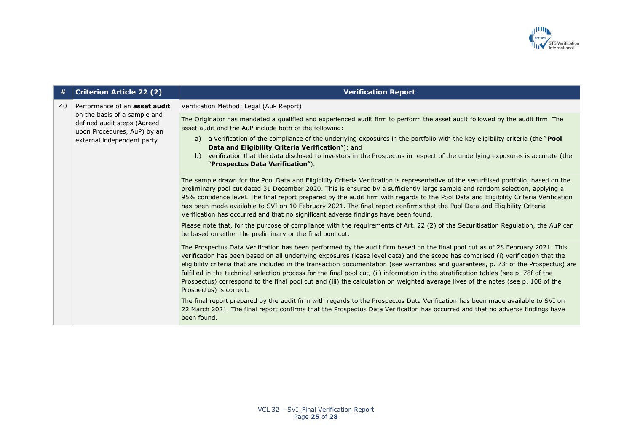

| #  | <b>Criterion Article 22 (2)</b>                                                                                                                                  | <b>Verification Report</b>                                                                                                                                                                                                                                                                                                                                                                                                                                                                                                                                                                                                                                                                                          |
|----|------------------------------------------------------------------------------------------------------------------------------------------------------------------|---------------------------------------------------------------------------------------------------------------------------------------------------------------------------------------------------------------------------------------------------------------------------------------------------------------------------------------------------------------------------------------------------------------------------------------------------------------------------------------------------------------------------------------------------------------------------------------------------------------------------------------------------------------------------------------------------------------------|
| 40 | Performance of an <b>asset audit</b><br>on the basis of a sample and<br>defined audit steps (Agreed<br>upon Procedures, AuP) by an<br>external independent party | Verification Method: Legal (AuP Report)                                                                                                                                                                                                                                                                                                                                                                                                                                                                                                                                                                                                                                                                             |
|    |                                                                                                                                                                  | The Originator has mandated a qualified and experienced audit firm to perform the asset audit followed by the audit firm. The<br>asset audit and the AuP include both of the following:                                                                                                                                                                                                                                                                                                                                                                                                                                                                                                                             |
|    |                                                                                                                                                                  | a verification of the compliance of the underlying exposures in the portfolio with the key eligibility criteria (the "Pool<br>a)<br>Data and Eligibility Criteria Verification"); and                                                                                                                                                                                                                                                                                                                                                                                                                                                                                                                               |
|    |                                                                                                                                                                  | verification that the data disclosed to investors in the Prospectus in respect of the underlying exposures is accurate (the<br>b)<br>"Prospectus Data Verification").                                                                                                                                                                                                                                                                                                                                                                                                                                                                                                                                               |
|    |                                                                                                                                                                  | The sample drawn for the Pool Data and Eligibility Criteria Verification is representative of the securitised portfolio, based on the<br>preliminary pool cut dated 31 December 2020. This is ensured by a sufficiently large sample and random selection, applying a<br>95% confidence level. The final report prepared by the audit firm with regards to the Pool Data and Eligibility Criteria Verification<br>has been made available to SVI on 10 February 2021. The final report confirms that the Pool Data and Eligibility Criteria<br>Verification has occurred and that no significant adverse findings have been found.                                                                                  |
|    |                                                                                                                                                                  | Please note that, for the purpose of compliance with the requirements of Art. 22 (2) of the Securitisation Regulation, the AuP can<br>be based on either the preliminary or the final pool cut.                                                                                                                                                                                                                                                                                                                                                                                                                                                                                                                     |
|    |                                                                                                                                                                  | The Prospectus Data Verification has been performed by the audit firm based on the final pool cut as of 28 February 2021. This<br>verification has been based on all underlying exposures (lease level data) and the scope has comprised (i) verification that the<br>eligibility criteria that are included in the transaction documentation (see warranties and guarantees, p. 73f of the Prospectus) are<br>fulfilled in the technical selection process for the final pool cut, (ii) information in the stratification tables (see p. 78f of the<br>Prospectus) correspond to the final pool cut and (iii) the calculation on weighted average lives of the notes (see p. 108 of the<br>Prospectus) is correct. |
|    |                                                                                                                                                                  | The final report prepared by the audit firm with regards to the Prospectus Data Verification has been made available to SVI on<br>22 March 2021. The final report confirms that the Prospectus Data Verification has occurred and that no adverse findings have<br>been found.                                                                                                                                                                                                                                                                                                                                                                                                                                      |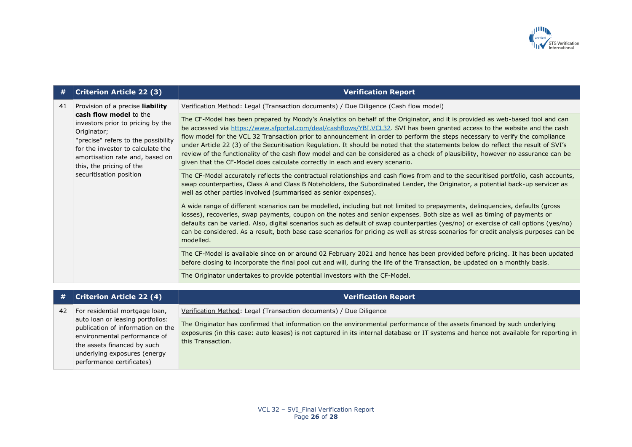

| #  | <b>Criterion Article 22 (3)</b>                                                                                                                                                                                                                                                      | <b>Verification Report</b>                                                                                                                                                                                                                                                                                                                                                                                                                                                                                                                                                                                                                                                                                                                            |
|----|--------------------------------------------------------------------------------------------------------------------------------------------------------------------------------------------------------------------------------------------------------------------------------------|-------------------------------------------------------------------------------------------------------------------------------------------------------------------------------------------------------------------------------------------------------------------------------------------------------------------------------------------------------------------------------------------------------------------------------------------------------------------------------------------------------------------------------------------------------------------------------------------------------------------------------------------------------------------------------------------------------------------------------------------------------|
| 41 | Provision of a precise liability<br>cash flow model to the<br>investors prior to pricing by the<br>Originator;<br>"precise" refers to the possibility<br>for the investor to calculate the<br>amortisation rate and, based on<br>this, the pricing of the<br>securitisation position | Verification Method: Legal (Transaction documents) / Due Diligence (Cash flow model)                                                                                                                                                                                                                                                                                                                                                                                                                                                                                                                                                                                                                                                                  |
|    |                                                                                                                                                                                                                                                                                      | The CF-Model has been prepared by Moody's Analytics on behalf of the Originator, and it is provided as web-based tool and can<br>be accessed via https://www.sfportal.com/deal/cashflows/YBI.VCL32. SVI has been granted access to the website and the cash<br>flow model for the VCL 32 Transaction prior to announcement in order to perform the steps necessary to verify the compliance<br>under Article 22 (3) of the Securitisation Regulation. It should be noted that the statements below do reflect the result of SVI's<br>review of the functionality of the cash flow model and can be considered as a check of plausibility, however no assurance can be<br>given that the CF-Model does calculate correctly in each and every scenario. |
|    |                                                                                                                                                                                                                                                                                      | The CF-Model accurately reflects the contractual relationships and cash flows from and to the securitised portfolio, cash accounts,<br>swap counterparties, Class A and Class B Noteholders, the Subordinated Lender, the Originator, a potential back-up servicer as<br>well as other parties involved (summarised as senior expenses).                                                                                                                                                                                                                                                                                                                                                                                                              |
|    |                                                                                                                                                                                                                                                                                      | A wide range of different scenarios can be modelled, including but not limited to prepayments, delinquencies, defaults (gross<br>losses), recoveries, swap payments, coupon on the notes and senior expenses. Both size as well as timing of payments or<br>defaults can be varied. Also, digital scenarios such as default of swap counterparties (yes/no) or exercise of call options (yes/no)<br>can be considered. As a result, both base case scenarios for pricing as well as stress scenarios for credit analysis purposes can be<br>modelled.                                                                                                                                                                                                 |
|    |                                                                                                                                                                                                                                                                                      | The CF-Model is available since on or around 02 February 2021 and hence has been provided before pricing. It has been updated<br>before closing to incorporate the final pool cut and will, during the life of the Transaction, be updated on a monthly basis.                                                                                                                                                                                                                                                                                                                                                                                                                                                                                        |
|    |                                                                                                                                                                                                                                                                                      | The Originator undertakes to provide potential investors with the CF-Model.                                                                                                                                                                                                                                                                                                                                                                                                                                                                                                                                                                                                                                                                           |
|    |                                                                                                                                                                                                                                                                                      |                                                                                                                                                                                                                                                                                                                                                                                                                                                                                                                                                                                                                                                                                                                                                       |

| <b>Criterion Article 22 (4)</b><br>#                                                                                                                                                              | <b>Verification Report</b>                                                                                                                                                                                                                                                             |
|---------------------------------------------------------------------------------------------------------------------------------------------------------------------------------------------------|----------------------------------------------------------------------------------------------------------------------------------------------------------------------------------------------------------------------------------------------------------------------------------------|
| For residential mortgage loan,<br>42                                                                                                                                                              | Verification Method: Legal (Transaction documents) / Due Diligence                                                                                                                                                                                                                     |
| auto loan or leasing portfolios:<br>publication of information on the<br>environmental performance of<br>the assets financed by such<br>underlying exposures (energy<br>performance certificates) | The Originator has confirmed that information on the environmental performance of the assets financed by such underlying<br>exposures (in this case: auto leases) is not captured in its internal database or IT systems and hence not available for reporting in<br>this Transaction. |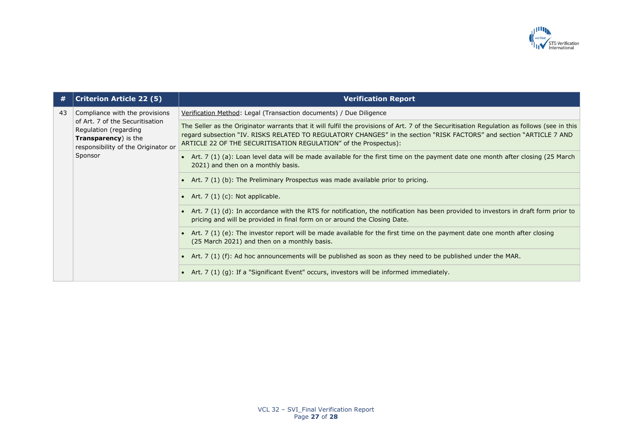

| #  | <b>Criterion Article 22 (5)</b>                                                                                                                                              | <b>Verification Report</b>                                                                                                                                                                                                                                                                                                              |
|----|------------------------------------------------------------------------------------------------------------------------------------------------------------------------------|-----------------------------------------------------------------------------------------------------------------------------------------------------------------------------------------------------------------------------------------------------------------------------------------------------------------------------------------|
| 43 | Compliance with the provisions<br>of Art. 7 of the Securitisation<br>Regulation (regarding<br><b>Transparency</b> ) is the<br>responsibility of the Originator or<br>Sponsor | Verification Method: Legal (Transaction documents) / Due Diligence                                                                                                                                                                                                                                                                      |
|    |                                                                                                                                                                              | The Seller as the Originator warrants that it will fulfil the provisions of Art. 7 of the Securitisation Regulation as follows (see in this<br>regard subsection "IV. RISKS RELATED TO REGULATORY CHANGES" in the section "RISK FACTORS" and section "ARTICLE 7 AND<br>ARTICLE 22 OF THE SECURITISATION REGULATION" of the Prospectus): |
|    |                                                                                                                                                                              | • Art. 7 (1) (a): Loan level data will be made available for the first time on the payment date one month after closing (25 March<br>2021) and then on a monthly basis.                                                                                                                                                                 |
|    |                                                                                                                                                                              | • Art. 7 (1) (b): The Preliminary Prospectus was made available prior to pricing.                                                                                                                                                                                                                                                       |
|    |                                                                                                                                                                              | • Art. $7(1)(c)$ : Not applicable.                                                                                                                                                                                                                                                                                                      |
|    |                                                                                                                                                                              | • Art. 7 (1) (d): In accordance with the RTS for notification, the notification has been provided to investors in draft form prior to<br>pricing and will be provided in final form on or around the Closing Date.                                                                                                                      |
|    |                                                                                                                                                                              | • Art. 7 (1) (e): The investor report will be made available for the first time on the payment date one month after closing<br>(25 March 2021) and then on a monthly basis.                                                                                                                                                             |
|    |                                                                                                                                                                              | • Art. 7 (1) (f): Ad hoc announcements will be published as soon as they need to be published under the MAR.                                                                                                                                                                                                                            |
|    |                                                                                                                                                                              | • Art. 7 (1) (g): If a "Significant Event" occurs, investors will be informed immediately.                                                                                                                                                                                                                                              |